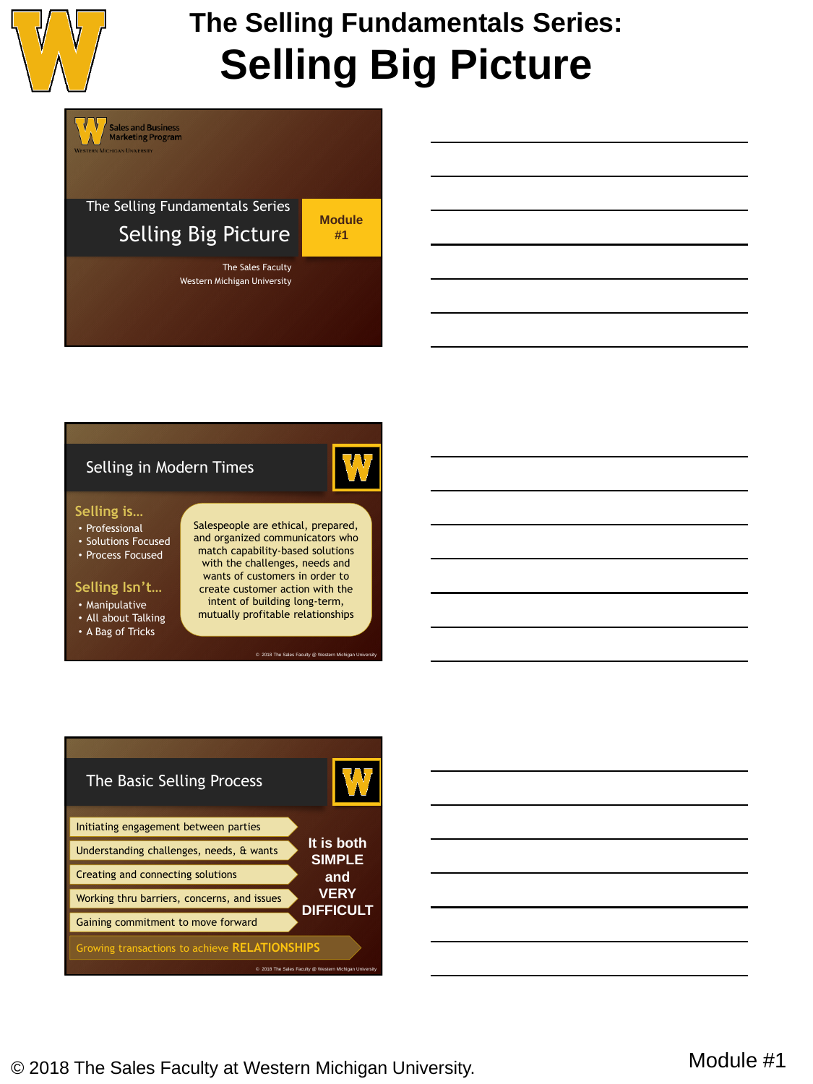

# **The Selling Fundamentals Series: Selling Big Picture**

The Selling Fundamentals Series Selling Big Picture

**Sales and Business<br>Marketing Program** 

**Module #1**

The Sales Faculty Western Michigan University

### Selling in Modern Times

#### **Selling is…**

- Professional
- Solutions Focused
- Process Focused

### **Selling Isn't…**

- Manipulative
- All about Talking
- A Bag of Tricks

Salespeople are ethical, prepared, and organized communicators who match capability-based solutions with the challenges, needs and wants of customers in order to create customer action with the intent of building long-term, mutually profitable relationships

© 2018 The Sales Faculty @ Western Michigan University



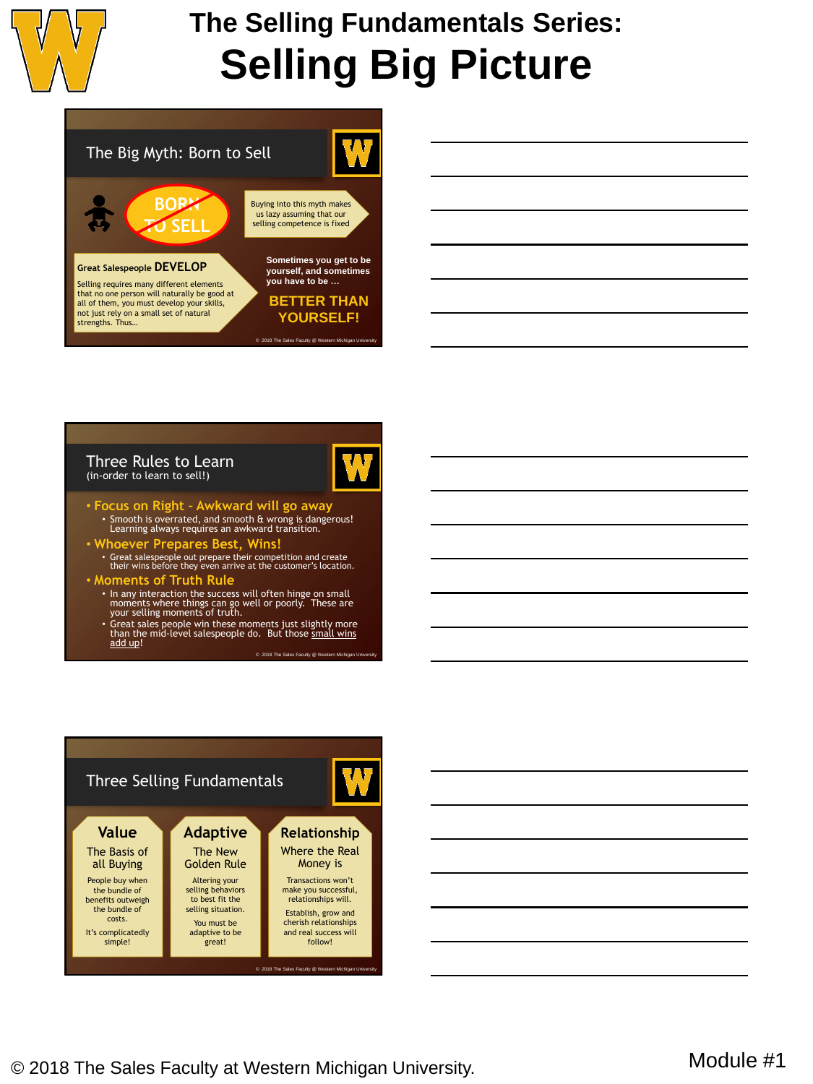

# **The Selling Fundamentals Series: Selling Big Picture**



| 'Three Rules to Learn        |  |  |
|------------------------------|--|--|
| (in-order to learn to sell!) |  |  |



- **Focus on Right – Awkward will go away** Smooth is overrated, and smooth & wrong is dangerous! Learning always requires an awkward transition.
- **Whoever Prepares Best, Wins!** Great salespeople out prepare their competition and create their wins before they even arrive at the customer's location.
- **Moments of Truth Rule** • In any interaction the success will often hinge on small moments where things can go well or poorly. These are
	- your selling moments of truth. • Great sales people win these moments just slightly more than the mid-level salespeople do. But those small wins
		- add up! © 2018 The Sales Faculty @